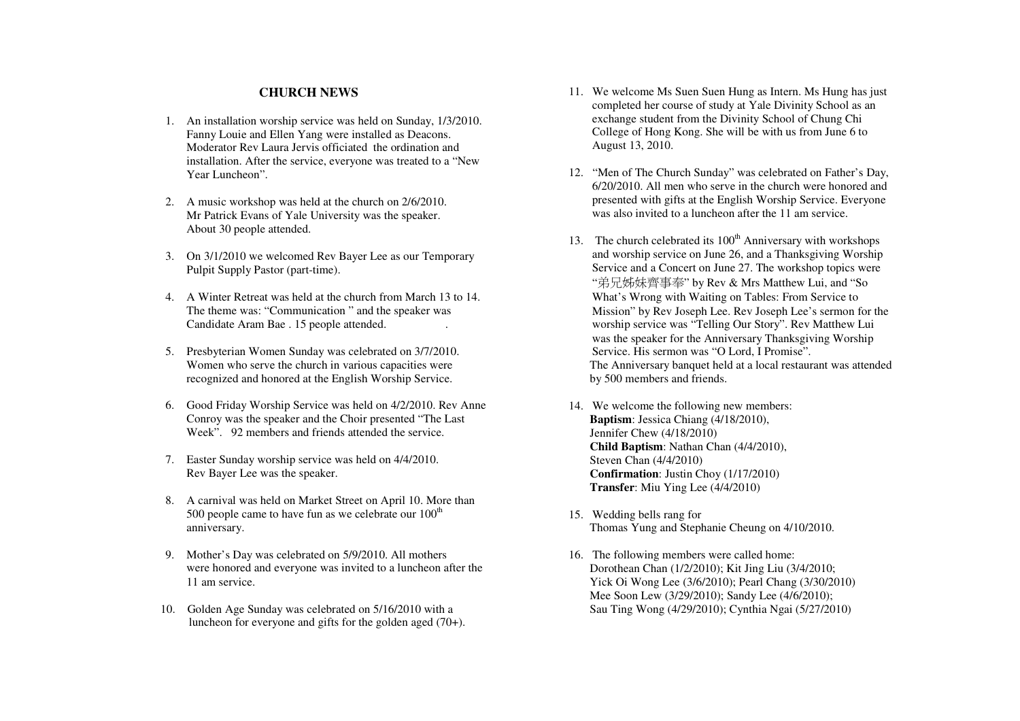## **CHURCH NEWS**

- 1. An installation worship service was held on Sunday, 1/3/2010. Fanny Louie and Ellen Yang were installed as Deacons. Moderator Rev Laura Jervis officiated the ordination and installation. After the service, everyone was treated to a "New Year Luncheon".
- 2. A music workshop was held at the church on 2/6/2010. Mr Patrick Evans of Yale University was the speaker. About 30 people attended.
- 3. On 3/1/2010 we welcomed Rev Bayer Lee as our Temporary Pulpit Supply Pastor (part-time).
- 4. A Winter Retreat was held at the church from March 13 to 14. The theme was: "Communication " and the speaker wasCandidate Aram Bae . 15 people attended. .
- 5. Presbyterian Women Sunday was celebrated on 3/7/2010. Women who serve the church in various capacities were recognized and honored at the English Worship Service.
- 6. Good Friday Worship Service was held on 4/2/2010. Rev Anne Conroy was the speaker and the Choir presented "The Last Week". 92 members and friends attended the service.
- 7. Easter Sunday worship service was held on 4/4/2010. Rev Bayer Lee was the speaker.
- 8. A carnival was held on Market Street on April 10. More than 500 people came to have fun as we celebrate our  $100<sup>th</sup>$ anniversary.
- 9. Mother's Day was celebrated on 5/9/2010. All mothers were honored and everyone was invited to a luncheon after the 11 am service.
- 10. Golden Age Sunday was celebrated on 5/16/2010 with a luncheon for everyone and gifts for the golden aged (70+).
- 11. We welcome Ms Suen Suen Hung as Intern. Ms Hung has just completed her course of study at Yale Divinity School as an exchange student from the Divinity School of Chung Chi College of Hong Kong. She will be with us from June 6 to August 13, 2010.
- 12. "Men of The Church Sunday" was celebrated on Father's Day, 6/20/2010. All men who serve in the church were honored and presented with gifts at the English Worship Service. Everyone was also invited to a luncheon after the 11 am service.
- 13. The church celebrated its  $100<sup>th</sup>$  Anniversary with workshops and worship service on June 26, and a Thanksgiving Worship Service and a Concert on June 27. The workshop topics were "弟兄姊妹齊事奉" by Rev & Mrs Matthew Lui, and "So What's Wrong with Waiting on Tables: From Service to Mission" by Rev Joseph Lee. Rev Joseph Lee's sermon for the worship service was "Telling Our Story". Rev Matthew Lui was the speaker for the Anniversary Thanksgiving Worship Service. His sermon was "O Lord, I Promise". The Anniversary banquet held at a local restaurant was attended by 500 members and friends.
- 14. We welcome the following new members: **Baptism**: Jessica Chiang (4/18/2010), Jennifer Chew (4/18/2010) **Child Baptism**: Nathan Chan (4/4/2010), Steven Chan (4/4/2010) **Confirmation**: Justin Choy (1/17/2010) **Transfer**: Miu Ying Lee (4/4/2010)
- 15. Wedding bells rang for Thomas Yung and Stephanie Cheung on 4/10/2010.
- 16. The following members were called home: Dorothean Chan (1/2/2010); Kit Jing Liu (3/4/2010; Yick Oi Wong Lee (3/6/2010); Pearl Chang (3/30/2010) Mee Soon Lew (3/29/2010); Sandy Lee (4/6/2010); Sau Ting Wong (4/29/2010); Cynthia Ngai (5/27/2010)